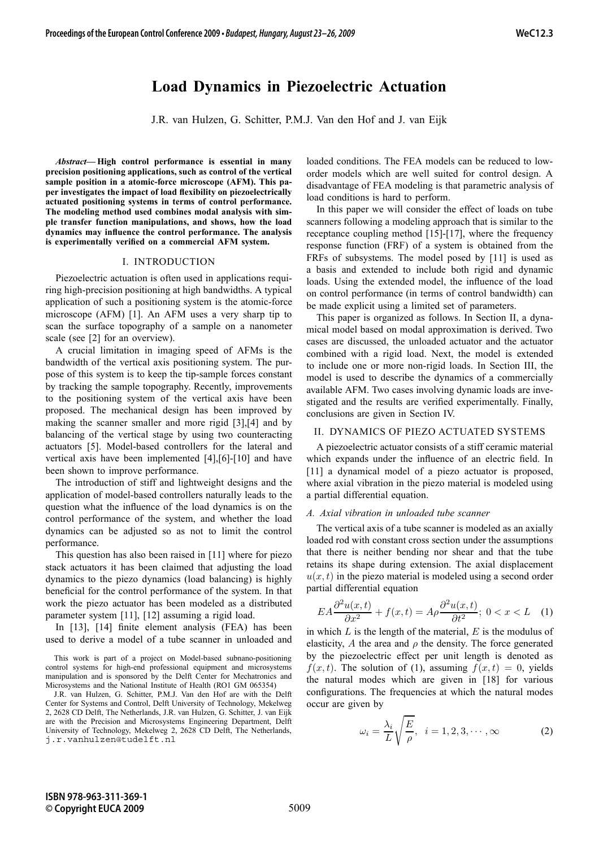# **Load Dynamics in Piezoelectric Actuation**

J.R. van Hulzen, G. Schitter, P.M.J. Van den Hof and J. van Eijk

*Abstract***— High control performance is essential in many precision positioning applications, such as control of the vertical sample position in a atomic-force microscope (AFM). This paper investigates the impact of load flexibility on piezoelectrically actuated positioning systems in terms of control performance. The modeling method used combines modal analysis with simple transfer function manipulations, and shows, how the load dynamics may influence the control performance. The analysis is experimentally verified on a commercial AFM system.**

## I. INTRODUCTION

Piezoelectric actuation is often used in applications requiring high-precision positioning at high bandwidths. A typical application of such a positioning system is the atomic-force microscope (AFM) [1]. An AFM uses a very sharp tip to scan the surface topography of a sample on a nanometer scale (see [2] for an overview).

A crucial limitation in imaging speed of AFMs is the bandwidth of the vertical axis positioning system. The purpose of this system is to keep the tip-sample forces constant by tracking the sample topography. Recently, improvements to the positioning system of the vertical axis have been proposed. The mechanical design has been improved by making the scanner smaller and more rigid [3],[4] and by balancing of the vertical stage by using two counteracting actuators [5]. Model-based controllers for the lateral and vertical axis have been implemented [4],[6]-[10] and have been shown to improve performance.

The introduction of stiff and lightweight designs and the application of model-based controllers naturally leads to the question what the influence of the load dynamics is on the control performance of the system, and whether the load dynamics can be adjusted so as not to limit the control performance.

This question has also been raised in [11] where for piezo stack actuators it has been claimed that adjusting the load dynamics to the piezo dynamics (load balancing) is highly beneficial for the control performance of the system. In that work the piezo actuator has been modeled as a distributed parameter system [11], [12] assuming a rigid load.

In [13], [14] finite element analysis (FEA) has been used to derive a model of a tube scanner in unloaded and loaded conditions. The FEA models can be reduced to loworder models which are well suited for control design. A disadvantage of FEA modeling is that parametric analysis of load conditions is hard to perform.

In this paper we will consider the effect of loads on tube scanners following a modeling approach that is similar to the receptance coupling method [15]-[17], where the frequency response function (FRF) of a system is obtained from the FRFs of subsystems. The model posed by [11] is used as a basis and extended to include both rigid and dynamic loads. Using the extended model, the influence of the load on control performance (in terms of control bandwidth) can be made explicit using a limited set of parameters.

This paper is organized as follows. In Section II, a dynamical model based on modal approximation is derived. Two cases are discussed, the unloaded actuator and the actuator combined with a rigid load. Next, the model is extended to include one or more non-rigid loads. In Section III, the model is used to describe the dynamics of a commercially available AFM. Two cases involving dynamic loads are investigated and the results are verified experimentally. Finally, conclusions are given in Section IV.

#### II. DYNAMICS OF PIEZO ACTUATED SYSTEMS

A piezoelectric actuator consists of a stiff ceramic material which expands under the influence of an electric field. In [11] a dynamical model of a piezo actuator is proposed, where axial vibration in the piezo material is modeled using a partial differential equation.

# *A. Axial vibration in unloaded tube scanner*

The vertical axis of a tube scanner is modeled as an axially loaded rod with constant cross section under the assumptions that there is neither bending nor shear and that the tube retains its shape during extension. The axial displacement  $u(x, t)$  in the piezo material is modeled using a second order partial differential equation

$$
EA\frac{\partial^2 u(x,t)}{\partial x^2} + f(x,t) = A\rho \frac{\partial^2 u(x,t)}{\partial t^2}; \ 0 < x < L \quad (1)
$$

in which  $L$  is the length of the material,  $E$  is the modulus of elasticity, A the area and  $\rho$  the density. The force generated by the piezoelectric effect per unit length is denoted as  $f(x, t)$ . The solution of (1), assuming  $f(x, t)=0$ , yields the natural modes which are given in [18] for various configurations. The frequencies at which the natural modes occur are given by

$$
\omega_i = \frac{\lambda_i}{L} \sqrt{\frac{E}{\rho}}, \quad i = 1, 2, 3, \cdots, \infty \tag{2}
$$

This work is part of a project on Model-based subnano-positioning control systems for high-end professional equipment and microsystems manipulation and is sponsored by the Delft Center for Mechatronics and Microsystems and the National Institute of Health (RO1 GM 065354)

J.R. van Hulzen, G. Schitter, P.M.J. Van den Hof are with the Delft Center for Systems and Control, Delft University of Technology, Mekelweg 2, 2628 CD Delft, The Netherlands, J.R. van Hulzen, G. Schitter, J. van Eijk are with the Precision and Microsystems Engineering Department, Delft University of Technology, Mekelweg 2, 2628 CD Delft, The Netherlands, j.r.vanhulzen@tudelft.nl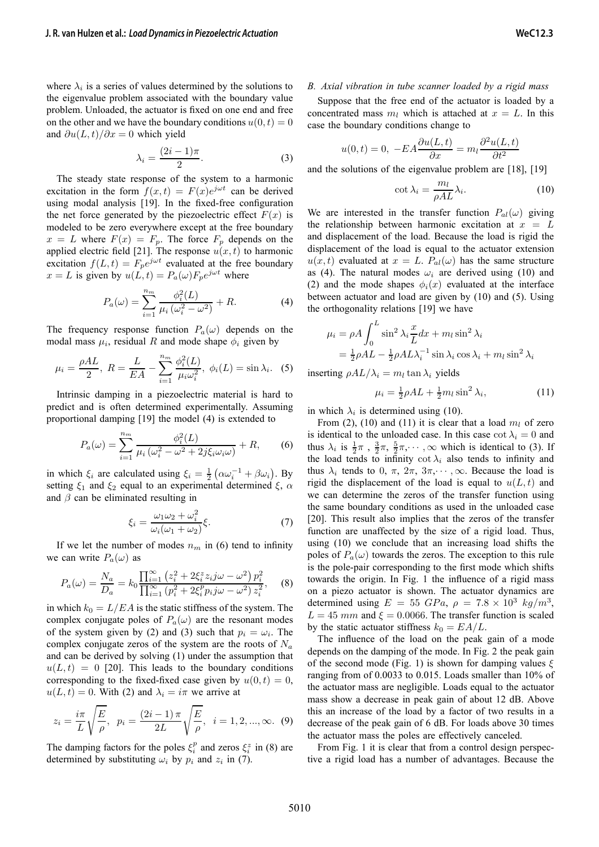$$
\lambda_i = \frac{(2i-1)\pi}{2}.\tag{3}
$$

The steady state response of the system to a harmonic excitation in the form  $f(x,t) = F(x)e^{j\omega t}$  can be derived using modal analysis [19]. In the fixed-free configuration the net force generated by the piezoelectric effect  $F(x)$  is modeled to be zero everywhere except at the free boundary  $x = L$  where  $F(x) = F_p$ . The force  $F_p$  depends on the applied electric field [21]. The response  $u(x, t)$  to harmonic excitation  $f(L, t) = F_p e^{j\omega t}$  evaluated at the free boundary  $x = L$  is given by  $u(L, t) = P_a(\omega) F_p e^{j\omega t}$  where

$$
P_a(\omega) = \sum_{i=1}^{n_m} \frac{\phi_i^2(L)}{\mu_i (\omega_i^2 - \omega^2)} + R.
$$
 (4)

The frequency response function  $P_a(\omega)$  depends on the modal mass  $\mu_i$ , residual R and mode shape  $\phi_i$  given by

$$
\mu_i = \frac{\rho A L}{2}, R = \frac{L}{EA} - \sum_{i=1}^{n_m} \frac{\phi_i^2(L)}{\mu_i \omega_i^2}, \phi_i(L) = \sin \lambda_i.
$$
 (5)

Intrinsic damping in a piezoelectric material is hard to predict and is often determined experimentally. Assuming proportional damping [19] the model (4) is extended to

$$
P_a(\omega) = \sum_{i=1}^{n_m} \frac{\phi_i^2(L)}{\mu_i \left(\omega_i^2 - \omega^2 + 2j\xi_i\omega_i\omega\right)} + R,\qquad(6)
$$

in which  $\xi_i$  are calculated using  $\xi_i = \frac{1}{2} (\alpha \omega_i^{-1} + \beta \omega_i)$ . By setting  $\xi_1$  and  $\xi_2$  equal to an experimental determined  $\xi$ ,  $\alpha$ and  $\beta$  can be eliminated resulting in

$$
\xi_i = \frac{\omega_1 \omega_2 + \omega_i^2}{\omega_i (\omega_1 + \omega_2)} \xi.
$$
\n(7)

If we let the number of modes  $n_m$  in (6) tend to infinity we can write  $P_a(\omega)$  as

$$
P_a(\omega) = \frac{N_a}{D_a} = k_0 \frac{\prod_{i=1}^{\infty} \left(z_i^2 + 2\xi_i^z z_i j\omega - \omega^2\right) p_i^2}{\prod_{i=1}^{\infty} \left(p_i^2 + 2\xi_i^p p_i j\omega - \omega^2\right) z_i^2},
$$
 (8)

in which  $k_0 = L/EA$  is the static stiffness of the system. The complex conjugate poles of  $P_a(\omega)$  are the resonant modes of the system given by (2) and (3) such that  $p_i = \omega_i$ . The complex conjugate zeros of the system are the roots of  $N_a$ and can be derived by solving (1) under the assumption that  $u(L, t) = 0$  [20]. This leads to the boundary conditions corresponding to the fixed-fixed case given by  $u(0, t)=0$ ,  $u(L, t) = 0$ . With (2) and  $\lambda_i = i\pi$  we arrive at

$$
z_i = \frac{i\pi}{L} \sqrt{\frac{E}{\rho}}, \ \ p_i = \frac{(2i-1)\pi}{2L} \sqrt{\frac{E}{\rho}}, \ \ i = 1, 2, ..., \infty.
$$
 (9)

The damping factors for the poles  $\xi_i^p$  and zeros  $\xi_i^z$  in (8) are determined by substituting  $\omega_i$  by  $p_i$  and  $z_i$  in (7).

## *B. Axial vibration in tube scanner loaded by a rigid mass*

Suppose that the free end of the actuator is loaded by a concentrated mass  $m_l$  which is attached at  $x = L$ . In this case the boundary conditions change to

$$
u(0,t) = 0, -EA\frac{\partial u(L,t)}{\partial x} = m_l \frac{\partial^2 u(L,t)}{\partial t^2}
$$

and the solutions of the eigenvalue problem are [18], [19]

$$
\cot \lambda_i = \frac{m_l}{\rho A L} \lambda_i.
$$
 (10)

We are interested in the transfer function  $P_{al}(\omega)$  giving the relationship between harmonic excitation at  $x = L$ and displacement of the load. Because the load is rigid the displacement of the load is equal to the actuator extension  $u(x, t)$  evaluated at  $x = L$ .  $P_{al}(\omega)$  has the same structure as (4). The natural modes  $\omega_i$  are derived using (10) and (2) and the mode shapes  $\phi_i(x)$  evaluated at the interface between actuator and load are given by (10) and (5). Using the orthogonality relations [19] we have

$$
\mu_i = \rho A \int_0^L \sin^2 \lambda_i \frac{x}{L} dx + m_l \sin^2 \lambda_i
$$
  
=  $\frac{1}{2} \rho A L - \frac{1}{2} \rho A L \lambda_i^{-1} \sin \lambda_i \cos \lambda_i + m_l \sin^2 \lambda_i$ 

inserting  $\rho A L / \lambda_i = m_l \tan \lambda_i$  yields

$$
\mu_i = \frac{1}{2}\rho A L + \frac{1}{2}m_l \sin^2 \lambda_i, \qquad (11)
$$

in which  $\lambda_i$  is determined using (10).

From (2), (10) and (11) it is clear that a load  $m_l$  of zero is identical to the unloaded case. In this case  $\cot \lambda_i = 0$  and thus  $\lambda_i$  is  $\frac{1}{2}\pi$ ,  $\frac{3}{2}\pi$ ,  $\frac{5}{2}\pi$ ,  $\cdots$ ,  $\infty$  which is identical to (3). If the load tends to infinity cot  $\lambda_i$  also tends to infinity and thus  $\lambda_i$  tends to 0,  $\pi$ ,  $2\pi$ ,  $3\pi$ ,  $\cdots$ ,  $\infty$ . Because the load is rigid the displacement of the load is equal to  $u(L, t)$  and we can determine the zeros of the transfer function using the same boundary conditions as used in the unloaded case [20]. This result also implies that the zeros of the transfer function are unaffected by the size of a rigid load. Thus, using (10) we conclude that an increasing load shifts the poles of  $P_a(\omega)$  towards the zeros. The exception to this rule is the pole-pair corresponding to the first mode which shifts towards the origin. In Fig. 1 the influence of a rigid mass on a piezo actuator is shown. The actuator dynamics are determined using  $E = 55 \text{ GPa}$ ,  $\rho = 7.8 \times 10^3 \text{ kg/m}^3$ ,  $L = 45$  mm and  $\xi = 0.0066$ . The transfer function is scaled by the static actuator stiffness  $k_0 = EA/L$ .

The influence of the load on the peak gain of a mode depends on the damping of the mode. In Fig. 2 the peak gain of the second mode (Fig. 1) is shown for damping values  $\xi$ ranging from of 0.0033 to 0.015. Loads smaller than 10% of the actuator mass are negligible. Loads equal to the actuator mass show a decrease in peak gain of about 12 dB. Above this an increase of the load by a factor of two results in a decrease of the peak gain of 6 dB. For loads above 30 times the actuator mass the poles are effectively canceled.

From Fig. 1 it is clear that from a control design perspective a rigid load has a number of advantages. Because the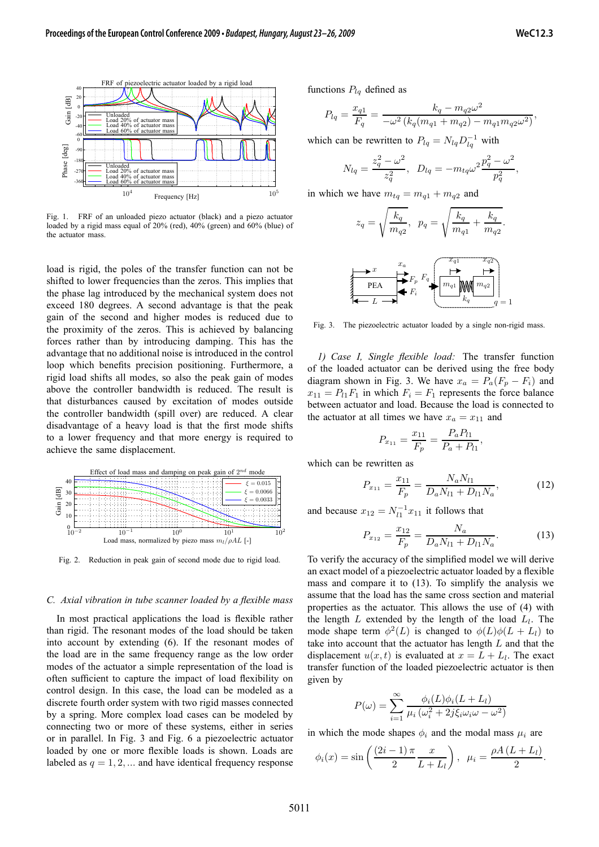

Fig. 1. FRF of an unloaded piezo actuator (black) and a piezo actuator loaded by a rigid mass equal of 20% (red), 40% (green) and 60% (blue) of the actuator mass.

load is rigid, the poles of the transfer function can not be shifted to lower frequencies than the zeros. This implies that the phase lag introduced by the mechanical system does not exceed 180 degrees. A second advantage is that the peak gain of the second and higher modes is reduced due to the proximity of the zeros. This is achieved by balancing forces rather than by introducing damping. This has the advantage that no additional noise is introduced in the control loop which benefits precision positioning. Furthermore, a rigid load shifts all modes, so also the peak gain of modes above the controller bandwidth is reduced. The result is that disturbances caused by excitation of modes outside the controller bandwidth (spill over) are reduced. A clear disadvantage of a heavy load is that the first mode shifts to a lower frequency and that more energy is required to achieve the same displacement.



Fig. 2. Reduction in peak gain of second mode due to rigid load.

#### *C. Axial vibration in tube scanner loaded by a flexible mass*

In most practical applications the load is flexible rather than rigid. The resonant modes of the load should be taken into account by extending (6). If the resonant modes of the load are in the same frequency range as the low order modes of the actuator a simple representation of the load is often sufficient to capture the impact of load flexibility on control design. In this case, the load can be modeled as a discrete fourth order system with two rigid masses connected by a spring. More complex load cases can be modeled by connecting two or more of these systems, either in series or in parallel. In Fig. 3 and Fig. 6 a piezoelectric actuator loaded by one or more flexible loads is shown. Loads are labeled as  $q = 1, 2, \dots$  and have identical frequency response functions  $P_{lq}$  defined as

$$
P_{lq} = \frac{x_{q1}}{F_q} = \frac{k_q - m_{q2}\omega^2}{-\omega^2 (k_q(m_{q1} + m_{q2}) - m_{q1}m_{q2}\omega^2)},
$$

which can be rewritten to  $P_{lq} = N_{lq} D_{lq}^{-1}$  with

$$
N_{lq} = \frac{z_q^2 - \omega^2}{z_q^2}, \ \ D_{lq} = -m_{tq}\omega^2 \frac{p_q^2 - \omega^2}{p_q^2},
$$

in which we have  $m_{tq} = m_{q1} + m_{q2}$  and

$$
z_q = \sqrt{\frac{k_q}{m_{q2}}}, \ \ p_q = \sqrt{\frac{k_q}{m_{q1}} + \frac{k_q}{m_{q2}}}.
$$



Fig. 3. The piezoelectric actuator loaded by a single non-rigid mass.

*1) Case I, Single flexible load:* The transfer function of the loaded actuator can be derived using the free body diagram shown in Fig. 3. We have  $x_a = P_a(F_p - F_i)$  and  $x_{11} = P_{11}F_1$  in which  $F_i = F_1$  represents the force balance between actuator and load. Because the load is connected to the actuator at all times we have  $x_a = x_{11}$  and

$$
P_{x_{11}} = \frac{x_{11}}{F_p} = \frac{P_a P_{l1}}{P_a + P_{l1}},
$$

which can be rewritten as

$$
P_{x_{11}} = \frac{x_{11}}{F_p} = \frac{N_a N_{l1}}{D_a N_{l1} + D_{l1} N_a},\tag{12}
$$

and because  $x_{12} = N_{11}^{-1} x_{11}$  it follows that

$$
P_{x_{12}} = \frac{x_{12}}{F_p} = \frac{N_a}{D_a N_{l1} + D_{l1} N_a}.
$$
 (13)

To verify the accuracy of the simplified model we will derive an exact model of a piezoelectric actuator loaded by a flexible mass and compare it to (13). To simplify the analysis we assume that the load has the same cross section and material properties as the actuator. This allows the use of (4) with the length  $L$  extended by the length of the load  $L_l$ . The mode shape term  $\phi^2(L)$  is changed to  $\phi(L)\phi(L+L_l)$  to take into account that the actuator has length  $L$  and that the displacement  $u(x, t)$  is evaluated at  $x = L + L_l$ . The exact transfer function of the loaded piezoelectric actuator is then given by

$$
P(\omega) = \sum_{i=1}^{\infty} \frac{\phi_i(L)\phi_i(L+L_l)}{\mu_i(\omega_i^2 + 2j\xi_i\omega_i\omega - \omega^2)}
$$

in which the mode shapes  $\phi_i$  and the modal mass  $\mu_i$  are

$$
\phi_i(x) = \sin\left(\frac{(2i-1)\pi}{2}\frac{x}{L+L_l}\right), \ \mu_i = \frac{\rho A (L+L_l)}{2}.
$$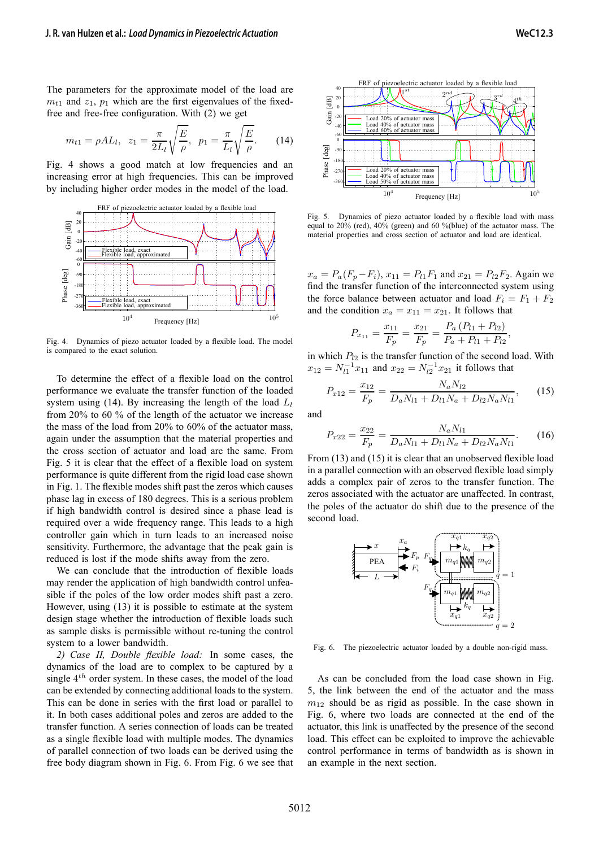The parameters for the approximate model of the load are  $m_{t1}$  and  $z_1$ ,  $p_1$  which are the first eigenvalues of the fixedfree and free-free configuration. With (2) we get

$$
m_{t1} = \rho A L_l, \ \ z_1 = \frac{\pi}{2L_l} \sqrt{\frac{E}{\rho}}, \ \ p_1 = \frac{\pi}{L_l} \sqrt{\frac{E}{\rho}}.
$$
 (14)

Fig. 4 shows a good match at low frequencies and an increasing error at high frequencies. This can be improved by including higher order modes in the model of the load.



Fig. 4. Dynamics of piezo actuator loaded by a flexible load. The model is compared to the exact solution.

To determine the effect of a flexible load on the control performance we evaluate the transfer function of the loaded system using (14). By increasing the length of the load  $L_l$ from 20% to 60 % of the length of the actuator we increase the mass of the load from 20% to 60% of the actuator mass, again under the assumption that the material properties and the cross section of actuator and load are the same. From Fig. 5 it is clear that the effect of a flexible load on system performance is quite different from the rigid load case shown in Fig. 1. The flexible modes shift past the zeros which causes phase lag in excess of 180 degrees. This is a serious problem if high bandwidth control is desired since a phase lead is required over a wide frequency range. This leads to a high controller gain which in turn leads to an increased noise sensitivity. Furthermore, the advantage that the peak gain is reduced is lost if the mode shifts away from the zero.

We can conclude that the introduction of flexible loads may render the application of high bandwidth control unfeasible if the poles of the low order modes shift past a zero. However, using (13) it is possible to estimate at the system design stage whether the introduction of flexible loads such as sample disks is permissible without re-tuning the control system to a lower bandwidth.

*2) Case II, Double flexible load:* In some cases, the dynamics of the load are to complex to be captured by a single  $4<sup>th</sup>$  order system. In these cases, the model of the load can be extended by connecting additional loads to the system. This can be done in series with the first load or parallel to it. In both cases additional poles and zeros are added to the transfer function. A series connection of loads can be treated as a single flexible load with multiple modes. The dynamics of parallel connection of two loads can be derived using the free body diagram shown in Fig. 6. From Fig. 6 we see that



Fig. 5. Dynamics of piezo actuator loaded by a flexible load with mass equal to 20% (red), 40% (green) and 60 %(blue) of the actuator mass. The material properties and cross section of actuator and load are identical.

 $x_a = P_a(F_p - F_i)$ ,  $x_{11} = P_{11}F_1$  and  $x_{21} = P_{12}F_2$ . Again we find the transfer function of the interconnected system using the force balance between actuator and load  $F_i = F_1 + F_2$ and the condition  $x_a = x_{11} = x_{21}$ . It follows that

$$
P_{x_{11}} = \frac{x_{11}}{F_p} = \frac{x_{21}}{F_p} = \frac{P_a (P_{l1} + P_{l2})}{P_a + P_{l1} + P_{l2}}
$$

,

in which  $P_{12}$  is the transfer function of the second load. With  $x_{12} = N_{11}^{-1} x_{11}$  and  $x_{22} = N_{12}^{-1} x_{21}$  it follows that

$$
P_{x12} = \frac{x_{12}}{F_p} = \frac{N_a N_{l2}}{D_a N_{l1} + D_{l1} N_a + D_{l2} N_a N_{l1}},\qquad(15)
$$

and

$$
P_{x22} = \frac{x_{22}}{F_p} = \frac{N_a N_{l1}}{D_a N_{l1} + D_{l1} N_a + D_{l2} N_a N_{l1}}.
$$
 (16)

From (13) and (15) it is clear that an unobserved flexible load in a parallel connection with an observed flexible load simply adds a complex pair of zeros to the transfer function. The zeros associated with the actuator are unaffected. In contrast, the poles of the actuator do shift due to the presence of the second load.



Fig. 6. The piezoelectric actuator loaded by a double non-rigid mass.

As can be concluded from the load case shown in Fig. 5, the link between the end of the actuator and the mass  $m_{12}$  should be as rigid as possible. In the case shown in Fig. 6, where two loads are connected at the end of the actuator, this link is unaffected by the presence of the second load. This effect can be exploited to improve the achievable control performance in terms of bandwidth as is shown in an example in the next section.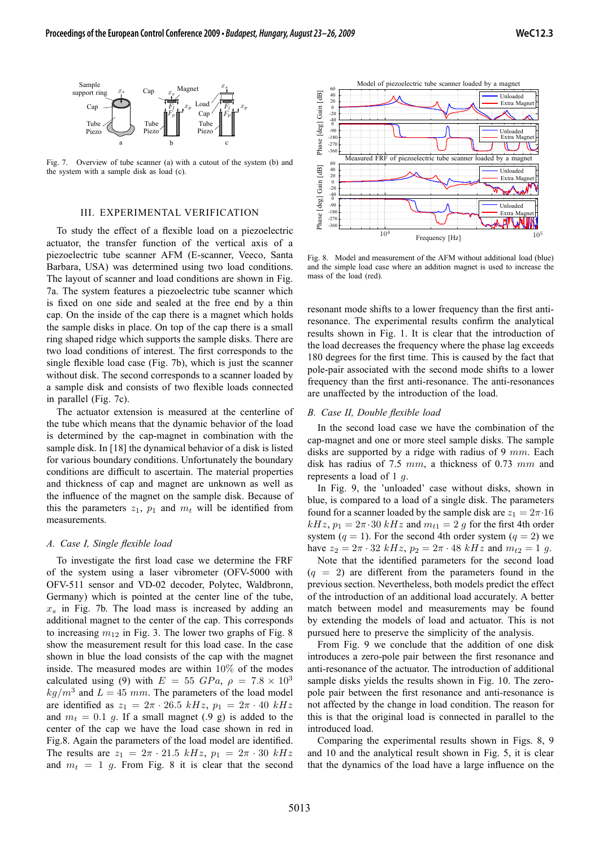

Fig. 7. Overview of tube scanner (a) with a cutout of the system (b) and the system with a sample disk as load (c).

# III. EXPERIMENTAL VERIFICATION

To study the effect of a flexible load on a piezoelectric actuator, the transfer function of the vertical axis of a piezoelectric tube scanner AFM (E-scanner, Veeco, Santa Barbara, USA) was determined using two load conditions. The layout of scanner and load conditions are shown in Fig. 7a. The system features a piezoelectric tube scanner which is fixed on one side and sealed at the free end by a thin cap. On the inside of the cap there is a magnet which holds the sample disks in place. On top of the cap there is a small ring shaped ridge which supports the sample disks. There are two load conditions of interest. The first corresponds to the single flexible load case (Fig. 7b), which is just the scanner without disk. The second corresponds to a scanner loaded by a sample disk and consists of two flexible loads connected in parallel (Fig. 7c).

The actuator extension is measured at the centerline of the tube which means that the dynamic behavior of the load is determined by the cap-magnet in combination with the sample disk. In [18] the dynamical behavior of a disk is listed for various boundary conditions. Unfortunately the boundary conditions are difficult to ascertain. The material properties and thickness of cap and magnet are unknown as well as the influence of the magnet on the sample disk. Because of this the parameters  $z_1$ ,  $p_1$  and  $m_t$  will be identified from measurements.

#### *A. Case I, Single flexible load*

To investigate the first load case we determine the FRF of the system using a laser vibrometer (OFV-5000 with OFV-511 sensor and VD-02 decoder, Polytec, Waldbronn, Germany) which is pointed at the center line of the tube,  $x<sub>s</sub>$  in Fig. 7b. The load mass is increased by adding an additional magnet to the center of the cap. This corresponds to increasing  $m_{12}$  in Fig. 3. The lower two graphs of Fig. 8 show the measurement result for this load case. In the case shown in blue the load consists of the cap with the magnet inside. The measured modes are within 10% of the modes calculated using (9) with  $E = 55$   $GPa$ ,  $\rho = 7.8 \times 10^3$  $kg/m^3$  and  $L = 45$  mm. The parameters of the load model are identified as  $z_1 = 2\pi \cdot 26.5$  kHz,  $p_1 = 2\pi \cdot 40$  kHz and  $m_t = 0.1$  g. If a small magnet (.9 g) is added to the center of the cap we have the load case shown in red in Fig.8. Again the parameters of the load model are identified. The results are  $z_1 = 2\pi \cdot 21.5$  kHz,  $p_1 = 2\pi \cdot 30$  kHz and  $m_t = 1$  g. From Fig. 8 it is clear that the second



Fig. 8. Model and measurement of the AFM without additional load (blue) and the simple load case where an addition magnet is used to increase the mass of the load (red).

resonant mode shifts to a lower frequency than the first antiresonance. The experimental results confirm the analytical results shown in Fig. 1. It is clear that the introduction of the load decreases the frequency where the phase lag exceeds 180 degrees for the first time. This is caused by the fact that pole-pair associated with the second mode shifts to a lower frequency than the first anti-resonance. The anti-resonances are unaffected by the introduction of the load.

# *B. Case II, Double flexible load*

In the second load case we have the combination of the cap-magnet and one or more steel sample disks. The sample disks are supported by a ridge with radius of 9  $mm$ . Each disk has radius of 7.5  $mm$ , a thickness of 0.73  $mm$  and represents a load of 1  $q$ .

In Fig. 9, the 'unloaded' case without disks, shown in blue, is compared to a load of a single disk. The parameters found for a scanner loaded by the sample disk are  $z_1 = 2\pi \cdot 16$  $kHz$ ,  $p_1 = 2\pi \cdot 30$   $kHz$  and  $m_{t1} = 2$  g for the first 4th order system ( $q = 1$ ). For the second 4th order system ( $q = 2$ ) we have  $z_2 = 2\pi \cdot 32 \ kHz$ ,  $p_2 = 2\pi \cdot 48 \ kHz$  and  $m_{t2} = 1$  g.

Note that the identified parameters for the second load  $(q = 2)$  are different from the parameters found in the previous section. Nevertheless, both models predict the effect of the introduction of an additional load accurately. A better match between model and measurements may be found by extending the models of load and actuator. This is not pursued here to preserve the simplicity of the analysis.

From Fig. 9 we conclude that the addition of one disk introduces a zero-pole pair between the first resonance and anti-resonance of the actuator. The introduction of additional sample disks yields the results shown in Fig. 10. The zeropole pair between the first resonance and anti-resonance is not affected by the change in load condition. The reason for this is that the original load is connected in parallel to the introduced load.

Comparing the experimental results shown in Figs. 8, 9 and 10 and the analytical result shown in Fig. 5, it is clear that the dynamics of the load have a large influence on the